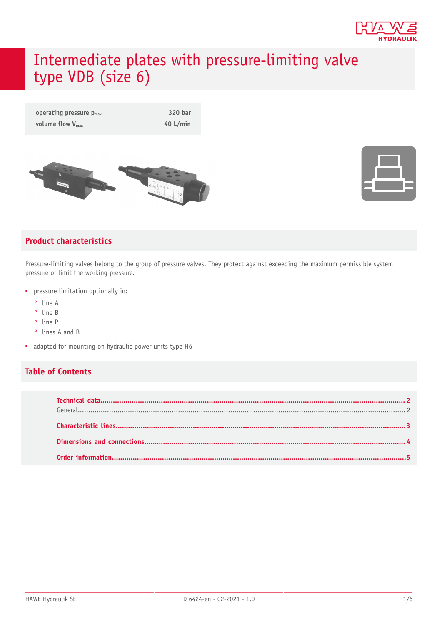

# Intermediate plates with pressure-limiting valve type VDB (size 6)







#### **Product characteristics**

Pressure-limiting valves belong to the group of pressure valves. They protect against exceeding the maximum permissible system pressure or limit the working pressure.

- pressure limitation optionally in:
	- ° line A
	- ° line B
	- ° line P
	- ° lines A and B
- adapted for mounting on hydraulic power units type H6

#### **Table of Contents**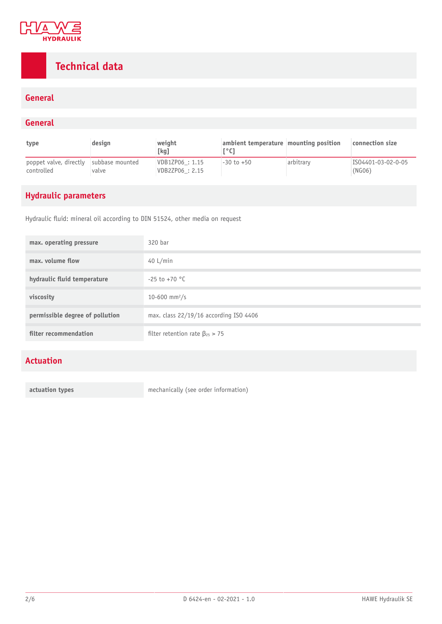

# <span id="page-1-0"></span>**Technical data**

#### **General**

#### <span id="page-1-1"></span>**General**

| type                                                 | design | weight<br>[kg]                     | ambient temperature mounting position |           | connection size              |
|------------------------------------------------------|--------|------------------------------------|---------------------------------------|-----------|------------------------------|
| poppet valve, directly subbase mounted<br>controlled | valve  | VDB1ZP06 : 1.15<br>VDB2ZP06 : 2.15 | $-30$ to $+50$                        | arbitrary | IS04401-03-02-0-05<br>(NG06) |

### **Hydraulic parameters**

Hydraulic fluid: mineral oil according to DIN 51524, other media on request

| max. operating pressure         | 320 bar                                 |
|---------------------------------|-----------------------------------------|
| max. volume flow                | 40 $L/min$                              |
| hydraulic fluid temperature     | $-25$ to $+70$ °C                       |
| viscosity                       | 10-600 mm <sup>2</sup> /s               |
| permissible degree of pollution | max. class 22/19/16 according ISO 4406  |
| filter recommendation           | filter retention rate $\beta_{25} > 75$ |

#### **Actuation**

**actuation types** mechanically (see order information)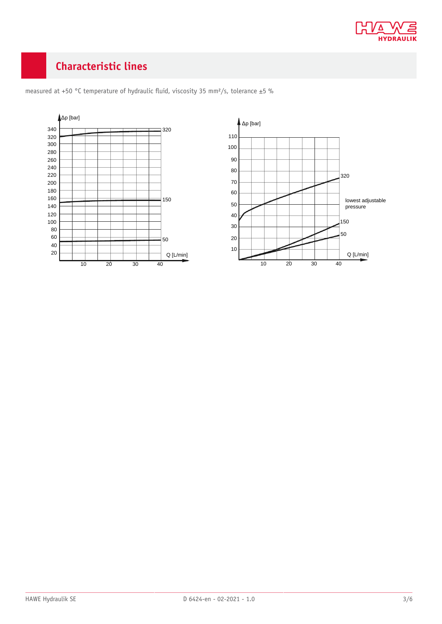

# <span id="page-2-0"></span>**Characteristic lines**



measured at +50 °C temperature of hydraulic fluid, viscosity 35 mm<sup>2</sup>/s, tolerance  $\pm$ 5 %

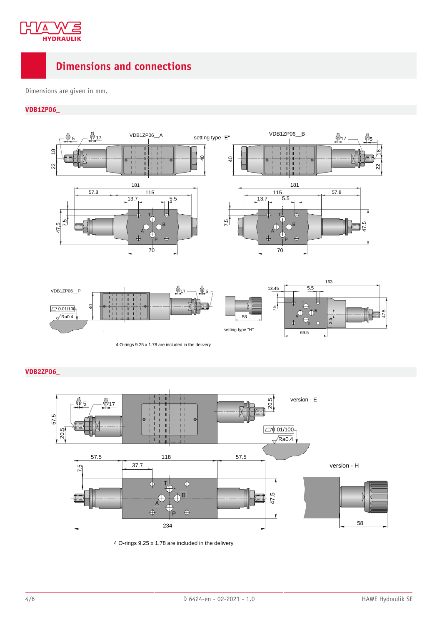

### <span id="page-3-0"></span>**Dimensions and connections**

Dimensions are given in mm.

#### **VDB1ZP06\_**



**VDB2ZP06\_**



4 O-rings 9.25 x 1.78 are included in the delivery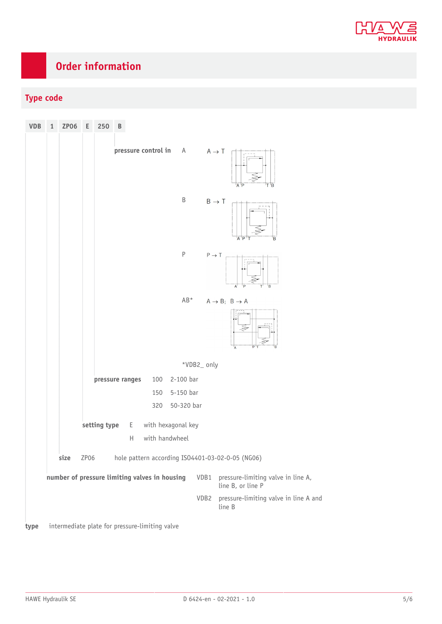

# <span id="page-4-0"></span>**Order information**

### **Type code**

| <b>VDB</b> | $\mathbf 1$ | <b>ZP06</b> | Е    | 250          | B                |                                                |                                      |            |                           |                                                         |
|------------|-------------|-------------|------|--------------|------------------|------------------------------------------------|--------------------------------------|------------|---------------------------|---------------------------------------------------------|
|            |             |             |      |              |                  | pressure control in                            | A                                    |            | $A \rightarrow T$         | A P<br>T B                                              |
|            |             |             |      |              |                  |                                                | $\sf B$                              |            | $\mathsf{B}\to\mathsf{T}$ | 'A 'P<br>B                                              |
|            |             |             |      |              |                  |                                                | $\sf P$                              |            | $P \rightarrow T$         | B                                                       |
|            |             |             |      |              |                  |                                                | AB*                                  |            |                           | $A \rightarrow B$ ; $B \rightarrow A$<br>B              |
|            |             |             |      |              |                  |                                                |                                      | *VDB2_only |                           |                                                         |
|            |             |             |      |              | pressure ranges  | 100                                            | 2-100 bar                            |            |                           |                                                         |
|            |             |             |      |              |                  | 150                                            | 5-150 bar                            |            |                           |                                                         |
|            |             |             |      |              |                  | 320                                            | 50-320 bar                           |            |                           |                                                         |
|            |             |             |      | setting type | E<br>$\mathsf H$ |                                                | with hexagonal key<br>with handwheel |            |                           |                                                         |
|            |             | size        | ZP06 |              |                  |                                                |                                      |            |                           | hole pattern according ISO4401-03-02-0-05 (NG06)        |
|            |             |             |      |              |                  | number of pressure limiting valves in housing  |                                      | VDB1       |                           | pressure-limiting valve in line A,<br>line B, or line P |
|            |             |             |      |              |                  |                                                |                                      | VDB2       | line B                    | pressure-limiting valve in line A and                   |
| type       |             |             |      |              |                  | intermediate plate for pressure-limiting valve |                                      |            |                           |                                                         |